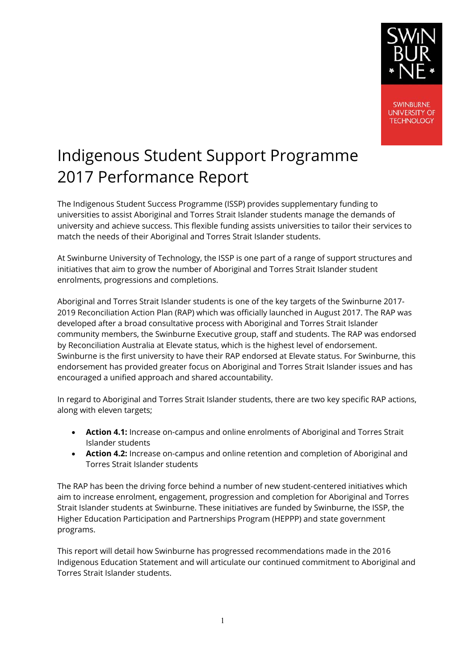

**SWINBURNE UNIVERSITY OF TECHNOLOGY** 

# Indigenous Student Support Programme 2017 Performance Report

The Indigenous Student Success Programme (ISSP) provides supplementary funding to universities to assist Aboriginal and Torres Strait Islander students manage the demands of university and achieve success. This flexible funding assists universities to tailor their services to match the needs of their Aboriginal and Torres Strait Islander students.

At Swinburne University of Technology, the ISSP is one part of a range of support structures and initiatives that aim to grow the number of Aboriginal and Torres Strait Islander student enrolments, progressions and completions.

Aboriginal and Torres Strait Islander students is one of the key targets of the Swinburne 2017- 2019 Reconciliation Action Plan (RAP) which was officially launched in August 2017. The RAP was developed after a broad consultative process with Aboriginal and Torres Strait Islander community members, the Swinburne Executive group, staff and students. The RAP was endorsed by Reconciliation Australia at Elevate status, which is the highest level of endorsement. Swinburne is the first university to have their RAP endorsed at Elevate status. For Swinburne, this endorsement has provided greater focus on Aboriginal and Torres Strait Islander issues and has encouraged a unified approach and shared accountability.

In regard to Aboriginal and Torres Strait Islander students, there are two key specific RAP actions, along with eleven targets;

- **Action 4.1:** Increase on-campus and online enrolments of Aboriginal and Torres Strait Islander students
- **Action 4.2:** Increase on-campus and online retention and completion of Aboriginal and Torres Strait Islander students

The RAP has been the driving force behind a number of new student-centered initiatives which aim to increase enrolment, engagement, progression and completion for Aboriginal and Torres Strait Islander students at Swinburne. These initiatives are funded by Swinburne, the ISSP, the Higher Education Participation and Partnerships Program (HEPPP) and state government programs.

This report will detail how Swinburne has progressed recommendations made in the 2016 Indigenous Education Statement and will articulate our continued commitment to Aboriginal and Torres Strait Islander students.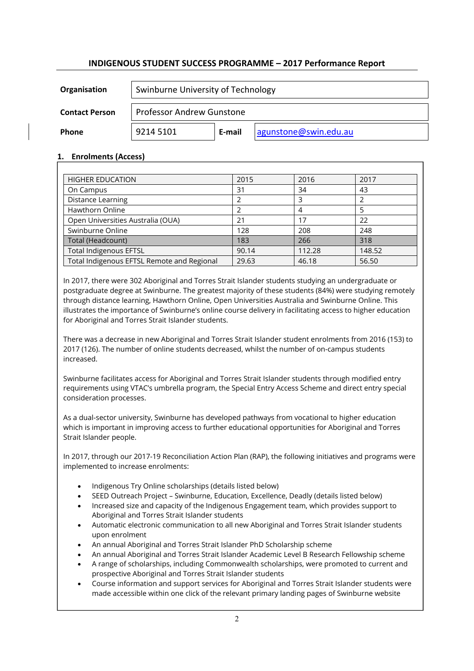# **INDIGENOUS STUDENT SUCCESS PROGRAMME – 2017 Performance Report**

| Organisation          | Swinburne University of Technology |        |                        |  |  |
|-----------------------|------------------------------------|--------|------------------------|--|--|
| <b>Contact Person</b> | <b>Professor Andrew Gunstone</b>   |        |                        |  |  |
| <b>Phone</b>          | 9214 5101                          | E-mail | lagunstone@swin.edu.au |  |  |

## **1. Enrolments (Access)**

| <b>HIGHER EDUCATION</b>                    | 2015  | 2016   | 2017   |
|--------------------------------------------|-------|--------|--------|
| On Campus                                  | 31    | 34     | 43     |
| <b>Distance Learning</b>                   |       |        |        |
| Hawthorn Online                            |       |        |        |
| Open Universities Australia (OUA)          | 21    | 17     | 22     |
| Swinburne Online                           | 128   | 208    | 248    |
| Total (Headcount)                          | 183   | 266    | 318    |
| <b>Total Indigenous EFTSL</b>              | 90.14 | 112.28 | 148.52 |
| Total Indigenous EFTSL Remote and Regional | 29.63 | 46.18  | 56.50  |

In 2017, there were 302 Aboriginal and Torres Strait Islander students studying an undergraduate or postgraduate degree at Swinburne. The greatest majority of these students (84%) were studying remotely through distance learning, Hawthorn Online, Open Universities Australia and Swinburne Online. This illustrates the importance of Swinburne's online course delivery in facilitating access to higher education for Aboriginal and Torres Strait Islander students.

There was a decrease in new Aboriginal and Torres Strait Islander student enrolments from 2016 (153) to 2017 (126). The number of online students decreased, whilst the number of on-campus students increased.

Swinburne facilitates access for Aboriginal and Torres Strait Islander students through modified entry requirements using VTAC's umbrella program, the Special Entry Access Scheme and direct entry special consideration processes.

As a dual-sector university, Swinburne has developed pathways from vocational to higher education which is important in improving access to further educational opportunities for Aboriginal and Torres Strait Islander people.

In 2017, through our 2017-19 Reconciliation Action Plan (RAP), the following initiatives and programs were implemented to increase enrolments:

- Indigenous Try Online scholarships (details listed below)
- SEED Outreach Project Swinburne, Education, Excellence, Deadly (details listed below)
- Increased size and capacity of the Indigenous Engagement team, which provides support to Aboriginal and Torres Strait Islander students
- Automatic electronic communication to all new Aboriginal and Torres Strait Islander students upon enrolment
- An annual Aboriginal and Torres Strait Islander PhD Scholarship scheme
- An annual Aboriginal and Torres Strait Islander Academic Level B Research Fellowship scheme
- A range of scholarships, including Commonwealth scholarships, were promoted to current and prospective Aboriginal and Torres Strait Islander students
- Course information and support services for Aboriginal and Torres Strait Islander students were made accessible within one click of the relevant primary landing pages of Swinburne website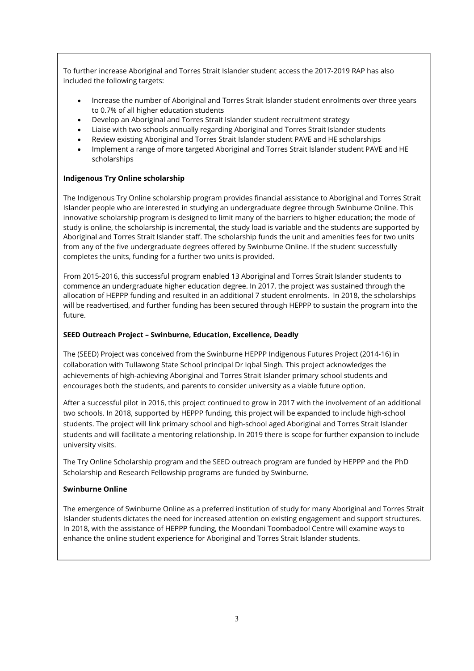To further increase Aboriginal and Torres Strait Islander student access the 2017-2019 RAP has also included the following targets:

- Increase the number of Aboriginal and Torres Strait Islander student enrolments over three years to 0.7% of all higher education students
- Develop an Aboriginal and Torres Strait Islander student recruitment strategy
- Liaise with two schools annually regarding Aboriginal and Torres Strait Islander students
- Review existing Aboriginal and Torres Strait Islander student PAVE and HE scholarships
- Implement a range of more targeted Aboriginal and Torres Strait Islander student PAVE and HE scholarships

### **Indigenous Try Online scholarship**

The Indigenous Try Online scholarship program provides financial assistance to Aboriginal and Torres Strait Islander people who are interested in studying an undergraduate degree through Swinburne Online. This innovative scholarship program is designed to limit many of the barriers to higher education; the mode of study is online, the scholarship is incremental, the study load is variable and the students are supported by Aboriginal and Torres Strait Islander staff. The scholarship funds the unit and amenities fees for two units from any of the five undergraduate degrees offered by Swinburne Online. If the student successfully completes the units, funding for a further two units is provided.

From 2015-2016, this successful program enabled 13 Aboriginal and Torres Strait Islander students to commence an undergraduate higher education degree. In 2017, the project was sustained through the allocation of HEPPP funding and resulted in an additional 7 student enrolments. In 2018, the scholarships will be readvertised, and further funding has been secured through HEPPP to sustain the program into the future.

#### **SEED Outreach Project – Swinburne, Education, Excellence, Deadly**

The (SEED) Project was conceived from the Swinburne HEPPP Indigenous Futures Project (2014-16) in collaboration with Tullawong State School principal Dr Iqbal Singh. This project acknowledges the achievements of high-achieving Aboriginal and Torres Strait Islander primary school students and encourages both the students, and parents to consider university as a viable future option.

After a successful pilot in 2016, this project continued to grow in 2017 with the involvement of an additional two schools. In 2018, supported by HEPPP funding, this project will be expanded to include high-school students. The project will link primary school and high-school aged Aboriginal and Torres Strait Islander students and will facilitate a mentoring relationship. In 2019 there is scope for further expansion to include university visits.

The Try Online Scholarship program and the SEED outreach program are funded by HEPPP and the PhD Scholarship and Research Fellowship programs are funded by Swinburne.

#### **Swinburne Online**

The emergence of Swinburne Online as a preferred institution of study for many Aboriginal and Torres Strait Islander students dictates the need for increased attention on existing engagement and support structures. In 2018, with the assistance of HEPPP funding, the Moondani Toombadool Centre will examine ways to enhance the online student experience for Aboriginal and Torres Strait Islander students.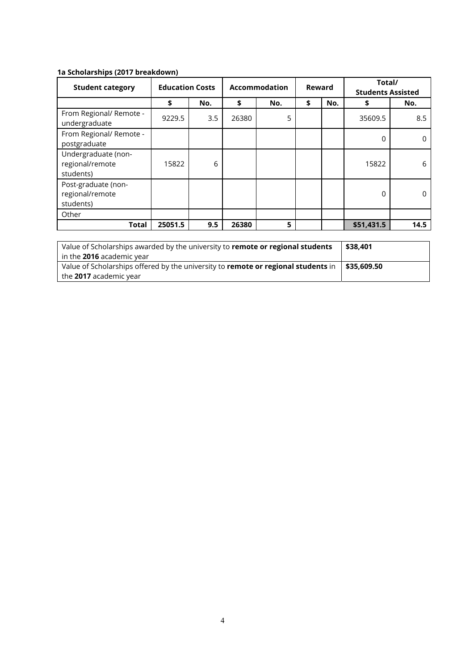## **1a Scholarships (2017 breakdown)**

| <b>Student category</b>                             | <b>Education Costs</b> |     |       | <b>Accommodation</b><br>Reward |    |     | Total/<br><b>Students Assisted</b> |      |
|-----------------------------------------------------|------------------------|-----|-------|--------------------------------|----|-----|------------------------------------|------|
|                                                     | \$                     | No. | \$    | No.                            | \$ | No. | \$                                 | No.  |
| From Regional/ Remote -<br>undergraduate            | 9229.5                 | 3.5 | 26380 | 5                              |    |     | 35609.5                            | 8.5  |
| From Regional/ Remote -<br>postgraduate             |                        |     |       |                                |    |     | $\Omega$                           | 0    |
| Undergraduate (non-<br>regional/remote<br>students) | 15822                  | 6   |       |                                |    |     | 15822                              | 6    |
| Post-graduate (non-<br>regional/remote<br>students) |                        |     |       |                                |    |     | $\Omega$                           | 0    |
| Other                                               |                        |     |       |                                |    |     |                                    |      |
| <b>Total</b>                                        | 25051.5                | 9.5 | 26380 | 5                              |    |     | \$51,431.5                         | 14.5 |

| Value of Scholarships awarded by the university to remote or regional students    | \$38.401    |
|-----------------------------------------------------------------------------------|-------------|
| $\mid$ in the <b>2016</b> academic vear                                           |             |
| Value of Scholarships offered by the university to remote or regional students in | \$35.609.50 |
| the 2017 academic year                                                            |             |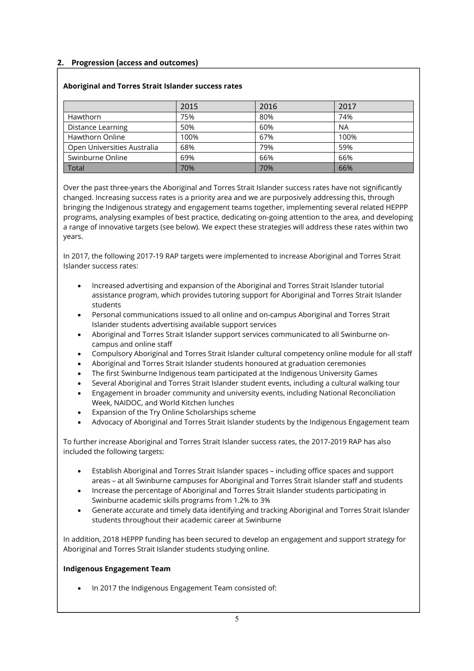## **2. Progression (access and outcomes)**

### **Aboriginal and Torres Strait Islander success rates**

|                             | 2015 | 2016 | 2017      |
|-----------------------------|------|------|-----------|
| Hawthorn                    | 75%  | 80%  | 74%       |
| Distance Learning           | 50%  | 60%  | <b>NA</b> |
| Hawthorn Online             | 100% | 67%  | 100%      |
| Open Universities Australia | 68%  | 79%  | 59%       |
| Swinburne Online            | 69%  | 66%  | 66%       |
| <b>Total</b>                | 70%  | 70%  | 66%       |

Over the past three-years the Aboriginal and Torres Strait Islander success rates have not significantly changed. Increasing success rates is a priority area and we are purposively addressing this, through bringing the Indigenous strategy and engagement teams together, implementing several related HEPPP programs, analysing examples of best practice, dedicating on-going attention to the area, and developing a range of innovative targets (see below). We expect these strategies will address these rates within two years.

In 2017, the following 2017-19 RAP targets were implemented to increase Aboriginal and Torres Strait Islander success rates:

- Increased advertising and expansion of the Aboriginal and Torres Strait Islander tutorial assistance program, which provides tutoring support for Aboriginal and Torres Strait Islander students
- Personal communications issued to all online and on-campus Aboriginal and Torres Strait Islander students advertising available support services
- Aboriginal and Torres Strait Islander support services communicated to all Swinburne oncampus and online staff
- Compulsory Aboriginal and Torres Strait Islander cultural competency online module for all staff
- Aboriginal and Torres Strait Islander students honoured at graduation ceremonies
- The first Swinburne Indigenous team participated at the Indigenous University Games
- Several Aboriginal and Torres Strait Islander student events, including a cultural walking tour
- Engagement in broader community and university events, including National Reconciliation Week, NAIDOC, and World Kitchen lunches
- Expansion of the Try Online Scholarships scheme
- Advocacy of Aboriginal and Torres Strait Islander students by the Indigenous Engagement team

To further increase Aboriginal and Torres Strait Islander success rates, the 2017-2019 RAP has also included the following targets:

- Establish Aboriginal and Torres Strait Islander spaces including office spaces and support areas – at all Swinburne campuses for Aboriginal and Torres Strait Islander staff and students
- Increase the percentage of Aboriginal and Torres Strait Islander students participating in Swinburne academic skills programs from 1.2% to 3%
- Generate accurate and timely data identifying and tracking Aboriginal and Torres Strait Islander students throughout their academic career at Swinburne

In addition, 2018 HEPPP funding has been secured to develop an engagement and support strategy for Aboriginal and Torres Strait Islander students studying online.

### **Indigenous Engagement Team**

• In 2017 the Indigenous Engagement Team consisted of: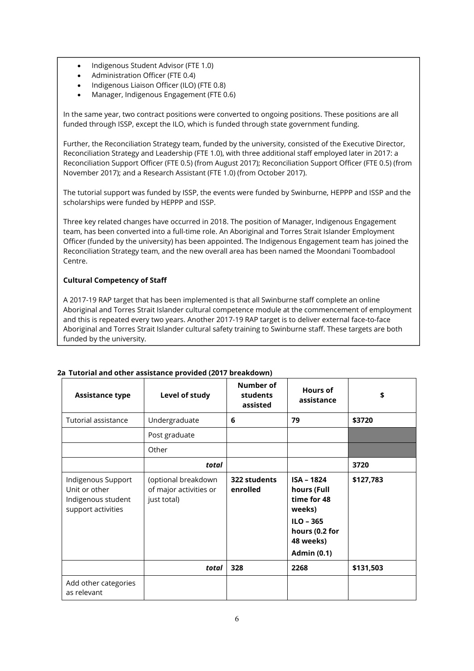- Indigenous Student Advisor (FTE 1.0)
- Administration Officer (FTE 0.4)
- Indigenous Liaison Officer (ILO) (FTE 0.8)
- Manager, Indigenous Engagement (FTE 0.6)

In the same year, two contract positions were converted to ongoing positions. These positions are all funded through ISSP, except the ILO, which is funded through state government funding.

Further, the Reconciliation Strategy team, funded by the university, consisted of the Executive Director, Reconciliation Strategy and Leadership (FTE 1.0), with three additional staff employed later in 2017: a Reconciliation Support Officer (FTE 0.5) (from August 2017); Reconciliation Support Officer (FTE 0.5) (from November 2017); and a Research Assistant (FTE 1.0) (from October 2017).

The tutorial support was funded by ISSP, the events were funded by Swinburne, HEPPP and ISSP and the scholarships were funded by HEPPP and ISSP.

Three key related changes have occurred in 2018. The position of Manager, Indigenous Engagement team, has been converted into a full-time role. An Aboriginal and Torres Strait Islander Employment Officer (funded by the university) has been appointed. The Indigenous Engagement team has joined the Reconciliation Strategy team, and the new overall area has been named the Moondani Toombadool Centre.

### **Cultural Competency of Staff**

A 2017-19 RAP target that has been implemented is that all Swinburne staff complete an online Aboriginal and Torres Strait Islander cultural competence module at the commencement of employment and this is repeated every two years. Another 2017-19 RAP target is to deliver external face-to-face Aboriginal and Torres Strait Islander cultural safety training to Swinburne staff. These targets are both funded by the university.

| <b>Assistance type</b>                                                          | Level of study                                               | <b>Number of</b><br>students<br>assisted | <b>Hours of</b><br>assistance                                                                                                 | \$        |
|---------------------------------------------------------------------------------|--------------------------------------------------------------|------------------------------------------|-------------------------------------------------------------------------------------------------------------------------------|-----------|
| Tutorial assistance                                                             | Undergraduate                                                | 6                                        | 79                                                                                                                            | \$3720    |
|                                                                                 | Post graduate                                                |                                          |                                                                                                                               |           |
|                                                                                 | Other                                                        |                                          |                                                                                                                               |           |
|                                                                                 | total                                                        |                                          |                                                                                                                               | 3720      |
| Indigenous Support<br>Unit or other<br>Indigenous student<br>support activities | (optional breakdown<br>of major activities or<br>just total) | 322 students<br>enrolled                 | <b>ISA - 1824</b><br>hours (Full<br>time for 48<br>weeks)<br>$ILO - 365$<br>hours (0.2 for<br>48 weeks)<br><b>Admin (0.1)</b> | \$127,783 |
|                                                                                 | total                                                        | 328                                      | 2268                                                                                                                          | \$131,503 |
| Add other categories<br>as relevant                                             |                                                              |                                          |                                                                                                                               |           |

### **2a Tutorial and other assistance provided (2017 breakdown)**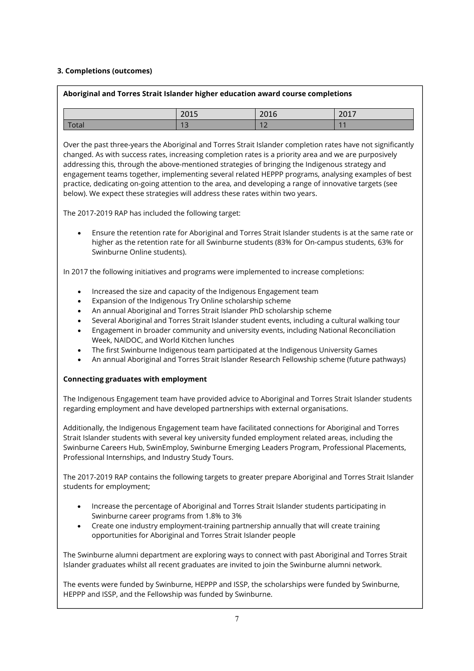#### **3. Completions (outcomes)**

### **Aboriginal and Torres Strait Islander higher education award course completions**

|       | 201F<br>201              | 2016<br>∠∪⊥o   | 2017                     |
|-------|--------------------------|----------------|--------------------------|
| Total | $\sim$                   | 1 <sup>2</sup> | $\overline{\phantom{a}}$ |
|       | $\overline{\phantom{0}}$ | ╶              | <b>STATISTICS</b>        |

Over the past three-years the Aboriginal and Torres Strait Islander completion rates have not significantly changed. As with success rates, increasing completion rates is a priority area and we are purposively addressing this, through the above-mentioned strategies of bringing the Indigenous strategy and engagement teams together, implementing several related HEPPP programs, analysing examples of best practice, dedicating on-going attention to the area, and developing a range of innovative targets (see below). We expect these strategies will address these rates within two years.

The 2017-2019 RAP has included the following target:

 Ensure the retention rate for Aboriginal and Torres Strait Islander students is at the same rate or higher as the retention rate for all Swinburne students (83% for On-campus students, 63% for Swinburne Online students).

In 2017 the following initiatives and programs were implemented to increase completions:

- Increased the size and capacity of the Indigenous Engagement team
- Expansion of the Indigenous Try Online scholarship scheme
- An annual Aboriginal and Torres Strait Islander PhD scholarship scheme
- Several Aboriginal and Torres Strait Islander student events, including a cultural walking tour
- Engagement in broader community and university events, including National Reconciliation Week, NAIDOC, and World Kitchen lunches
- The first Swinburne Indigenous team participated at the Indigenous University Games
- An annual Aboriginal and Torres Strait Islander Research Fellowship scheme (future pathways)

#### **Connecting graduates with employment**

regarding employment and have developed partnerships with external organisations. The Indigenous Engagement team have provided advice to Aboriginal and Torres Strait Islander students

Additionally, the Indigenous Engagement team have facilitated connections for Aboriginal and Torres Strait Islander students with several key university funded employment related areas, including the Swinburne Careers Hub, SwinEmploy, Swinburne Emerging Leaders Program, Professional Placements, Professional Internships, and Industry Study Tours.

The 2017-2019 RAP contains the following targets to greater prepare Aboriginal and Torres Strait Islander students for employment;

- Increase the percentage of Aboriginal and Torres Strait Islander students participating in Swinburne career programs from 1.8% to 3%
- Create one industry employment-training partnership annually that will create training opportunities for Aboriginal and Torres Strait Islander people

The Swinburne alumni department are exploring ways to connect with past Aboriginal and Torres Strait Islander graduates whilst all recent graduates are invited to join the Swinburne alumni network.

The events were funded by Swinburne, HEPPP and ISSP, the scholarships were funded by Swinburne, HEPPP and ISSP, and the Fellowship was funded by Swinburne.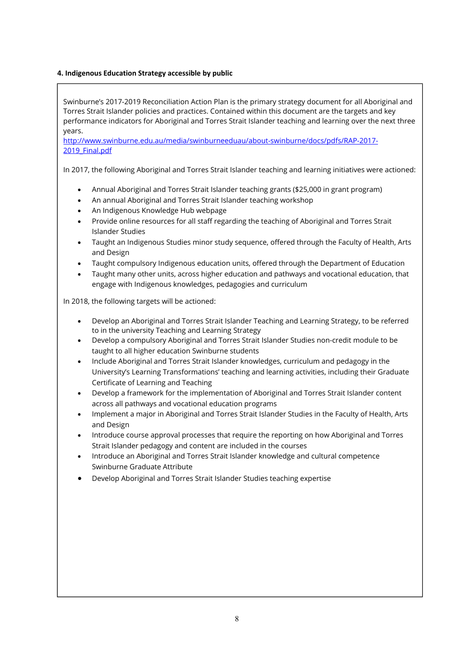#### **4. Indigenous Education Strategy accessible by public**

Swinburne's 2017-2019 Reconciliation Action Plan is the primary strategy document for all Aboriginal and Torres Strait Islander policies and practices. Contained within this document are the targets and key performance indicators for Aboriginal and Torres Strait Islander teaching and learning over the next three years. http://www.swinburne.edu.au/media/swinburneeduau/about-swinburne/docs/pdfs/RAP-2017- 2019 Final.pdf In 2017, the following Aboriginal and Torres Strait Islander teaching and learning initiatives were actioned: Annual Aboriginal and Torres Strait Islander teaching grants (\$25,000 in grant program) An annual Aboriginal and Torres Strait Islander teaching workshop An Indigenous Knowledge Hub webpage Provide online resources for all staff regarding the teaching of Aboriginal and Torres Strait Islander Studies Taught an Indigenous Studies minor study sequence, offered through the Faculty of Health, Arts and Design Taught compulsory Indigenous education units, offered through the Department of Education Taught many other units, across higher education and pathways and vocational education, that engage with Indigenous knowledges, pedagogies and curriculum In 2018, the following targets will be actioned: Develop an Aboriginal and Torres Strait Islander Teaching and Learning Strategy, to be referred to in the university Teaching and Learning Strategy Develop a compulsory Aboriginal and Torres Strait Islander Studies non-credit module to be taught to all higher education Swinburne students Include Aboriginal and Torres Strait Islander knowledges, curriculum and pedagogy in the University's Learning Transformations' teaching and learning activities, including their Graduate Certificate of Learning and Teaching Develop a framework for the implementation of Aboriginal and Torres Strait Islander content across all pathways and vocational education programs • Implement a major in Aboriginal and Torres Strait Islander Studies in the Faculty of Health, Arts and Design Introduce course approval processes that require the reporting on how Aboriginal and Torres Strait Islander pedagogy and content are included in the courses Introduce an Aboriginal and Torres Strait Islander knowledge and cultural competence Swinburne Graduate Attribute Develop Aboriginal and Torres Strait Islander Studies teaching expertise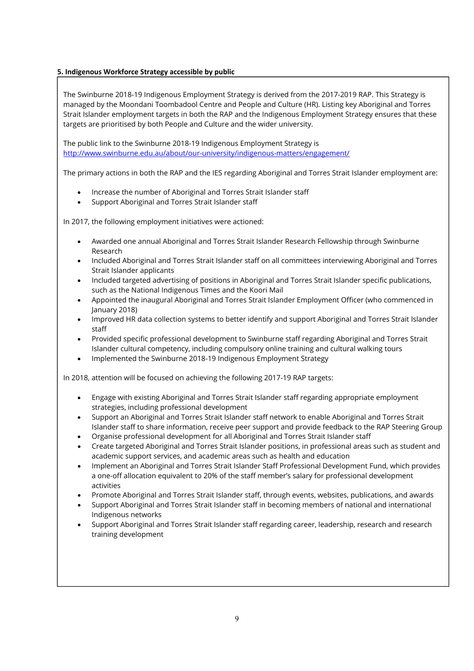## **5. Indigenous Workforce Strategy accessible by public**

The Swinburne 2018-19 Indigenous Employment Strategy is derived from the 2017-2019 RAP. This Strategy is managed by the Moondani Toombadool Centre and People and Culture (HR). Listing key Aboriginal and Torres Strait Islander employment targets in both the RAP and the Indigenous Employment Strategy ensures that these targets are prioritised by both People and Culture and the wider university.

The public link to the Swinburne 2018-19 Indigenous Employment Strategy is http://www.swinburne.edu.au/about/our-university/indigenous-matters/engagement/

The primary actions in both the RAP and the IES regarding Aboriginal and Torres Strait Islander employment are:

- Increase the number of Aboriginal and Torres Strait Islander staff
- Support Aboriginal and Torres Strait Islander staff

In 2017, the following employment initiatives were actioned:

- Awarded one annual Aboriginal and Torres Strait Islander Research Fellowship through Swinburne Research
- Included Aboriginal and Torres Strait Islander staff on all committees interviewing Aboriginal and Torres Strait Islander applicants
- Included targeted advertising of positions in Aboriginal and Torres Strait Islander specific publications, such as the National Indigenous Times and the Koori Mail
- Appointed the inaugural Aboriginal and Torres Strait Islander Employment Officer (who commenced in January 2018)
- Improved HR data collection systems to better identify and support Aboriginal and Torres Strait Islander staff
- Provided specific professional development to Swinburne staff regarding Aboriginal and Torres Strait Islander cultural competency, including compulsory online training and cultural walking tours
- Implemented the Swinburne 2018-19 Indigenous Employment Strategy

In 2018, attention will be focused on achieving the following 2017-19 RAP targets:

- Engage with existing Aboriginal and Torres Strait Islander staff regarding appropriate employment strategies, including professional development
- Support an Aboriginal and Torres Strait Islander staff network to enable Aboriginal and Torres Strait Islander staff to share information, receive peer support and provide feedback to the RAP Steering Group
- Organise professional development for all Aboriginal and Torres Strait Islander staff
- Create targeted Aboriginal and Torres Strait Islander positions, in professional areas such as student and academic support services, and academic areas such as health and education
- Implement an Aboriginal and Torres Strait Islander Staff Professional Development Fund, which provides a one-off allocation equivalent to 20% of the staff member's salary for professional development activities
- Promote Aboriginal and Torres Strait Islander staff, through events, websites, publications, and awards
- Support Aboriginal and Torres Strait Islander staff in becoming members of national and international Indigenous networks
- Support Aboriginal and Torres Strait Islander staff regarding career, leadership, research and research training development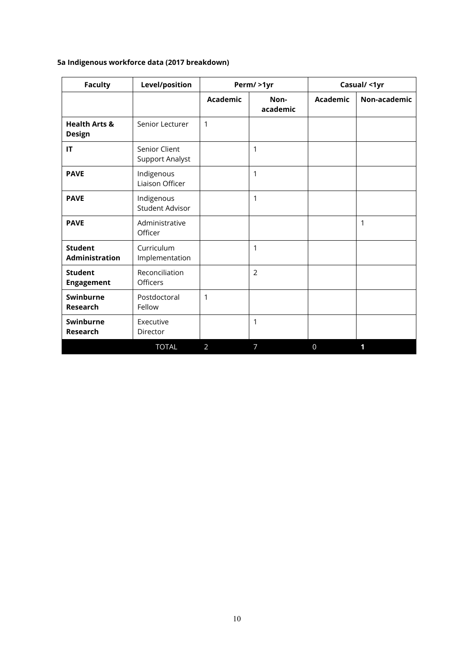# **5a Indigenous workforce data (2017 breakdown)**

| <b>Faculty</b>                            | Level/position                       |                 | Perm/ >1yr       |                 | Casual/ <1yr |
|-------------------------------------------|--------------------------------------|-----------------|------------------|-----------------|--------------|
|                                           |                                      | <b>Academic</b> | Non-<br>academic | <b>Academic</b> | Non-academic |
| <b>Health Arts &amp;</b><br><b>Design</b> | Senior Lecturer                      | $\mathbf{1}$    |                  |                 |              |
| IT                                        | Senior Client<br>Support Analyst     |                 | 1                |                 |              |
| <b>PAVE</b>                               | Indigenous<br>Liaison Officer        |                 | 1                |                 |              |
| <b>PAVE</b>                               | Indigenous<br><b>Student Advisor</b> |                 | 1                |                 |              |
| <b>PAVE</b>                               | Administrative<br>Officer            |                 |                  |                 | 1            |
| <b>Student</b><br><b>Administration</b>   | Curriculum<br>Implementation         |                 | 1                |                 |              |
| <b>Student</b><br><b>Engagement</b>       | Reconciliation<br>Officers           |                 | 2                |                 |              |
| Swinburne<br><b>Research</b>              | Postdoctoral<br>Fellow               | 1               |                  |                 |              |
| Swinburne<br><b>Research</b>              | Executive<br>Director                |                 | 1                |                 |              |
|                                           | <b>TOTAL</b>                         | 2               | $\overline{7}$   | $\Omega$        | 1            |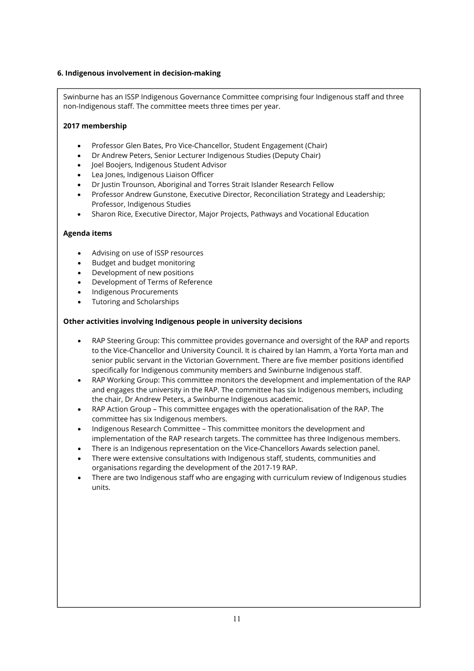#### **6. Indigenous involvement in decision-making**

Swinburne has an ISSP Indigenous Governance Committee comprising four Indigenous staff and three non-Indigenous staff. The committee meets three times per year.

#### **2017 membership**

- Professor Glen Bates, Pro Vice-Chancellor, Student Engagement (Chair)
- Dr Andrew Peters, Senior Lecturer Indigenous Studies (Deputy Chair)
- Joel Boojers, Indigenous Student Advisor
- Lea Jones, Indigenous Liaison Officer
- Dr Justin Trounson, Aboriginal and Torres Strait Islander Research Fellow
- Professor Andrew Gunstone, Executive Director, Reconciliation Strategy and Leadership; Professor, Indigenous Studies
- Sharon Rice, Executive Director, Major Projects, Pathways and Vocational Education

#### **Agenda items**

- Advising on use of ISSP resources
- Budget and budget monitoring
- Development of new positions
- Development of Terms of Reference
- Indigenous Procurements
- Tutoring and Scholarships

#### **Other activities involving Indigenous people in university decisions**

- RAP Steering Group: This committee provides governance and oversight of the RAP and reports to the Vice-Chancellor and University Council. It is chaired by Ian Hamm, a Yorta Yorta man and senior public servant in the Victorian Government. There are five member positions identified specifically for Indigenous community members and Swinburne Indigenous staff.
- RAP Working Group: This committee monitors the development and implementation of the RAP and engages the university in the RAP. The committee has six Indigenous members, including the chair, Dr Andrew Peters, a Swinburne Indigenous academic.
- RAP Action Group This committee engages with the operationalisation of the RAP. The committee has six Indigenous members.
- Indigenous Research Committee This committee monitors the development and implementation of the RAP research targets. The committee has three Indigenous members.
- There is an Indigenous representation on the Vice-Chancellors Awards selection panel.
- There were extensive consultations with Indigenous staff, students, communities and organisations regarding the development of the 2017-19 RAP.
- There are two Indigenous staff who are engaging with curriculum review of Indigenous studies units.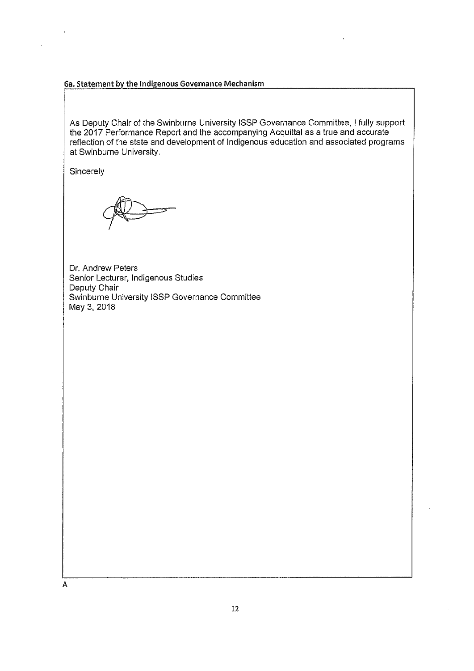#### 6a. Statement by the Indigenous Governance Mechanism

As Deputy Chair of the Swinburne University ISSP Governance Committee, I fully support the 2017 Performance Report and the accompanying Acquittal as a true and accurate reflection of the state and development of Indigenous education and associated programs at Swinburne University.

Sincerely

Dr. Andrew Peters Senior Lecturer, Indigenous Studies Deputy Chair Swinburne University ISSP Governance Committee May 3, 2018

A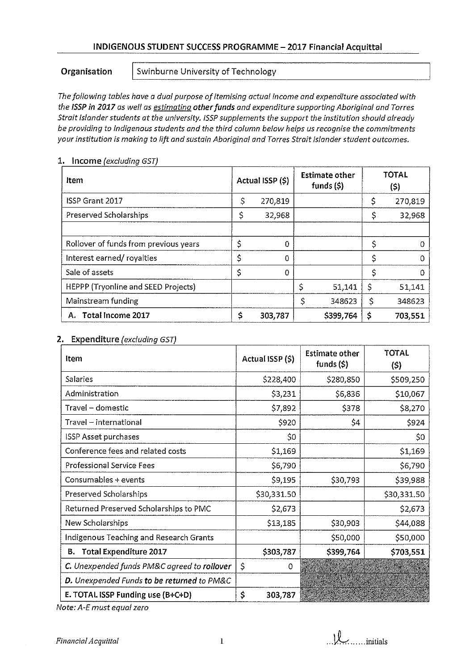## INDIGENOUS STUDENT SUCCESS PROGRAMME - 2017 Financial Acquittal

## Organisation

Swinburne University of Technology

The following tables have a dual purpose of itemising actual income and expenditure associated with the ISSP in 2017 as well as estimating other funds and expenditure supporting Aboriginal and Torres Strait Islander students at the university. ISSP supplements the support the institution should already be providing to Indigenous students and the third column below helps us recognise the commitments your institution is making to lift and sustain Aboriginal and Torres Strait Islander student outcomes.

| Item                                       | Actual ISSP (\$) |     | <b>Estimate other</b><br>funds $(5)$ |    | <b>TOTAL</b><br>(5) |
|--------------------------------------------|------------------|-----|--------------------------------------|----|---------------------|
| <b>ISSP Grant 2017</b>                     | \$<br>270,819    |     |                                      |    | 270,819             |
| Preserved Scholarships                     | \$<br>32,968     |     |                                      |    | 32,968              |
|                                            |                  |     |                                      |    |                     |
| Rollover of funds from previous years      | \$<br>0          |     |                                      | ς  |                     |
| Interest earned/royalties                  | \$<br>$\Omega$   |     |                                      | \$ |                     |
| Sale of assets                             | $\Omega$         |     |                                      | ς  |                     |
| <b>HEPPP (Tryonline and SEED Projects)</b> |                  | \$, | 51,141                               | \$ | 51,141              |
| Mainstream funding                         |                  |     | 348623                               | \$ | 348623              |
| Total Income 2017<br>А.                    | \$<br>303,787    |     | \$399,764                            | Ş  | 703,551             |

### 1. Income (excluding GST)

## 2. Expenditure (excluding GST)

| Item                                        | Actual ISSP (\$) | <b>Estimate other</b><br>funds $(5)$ | <b>TOTAL</b><br>$(\mathsf{S})$ |
|---------------------------------------------|------------------|--------------------------------------|--------------------------------|
| Salaries                                    | \$228,400        | \$280,850                            | \$509,250                      |
| Administration                              | \$3,231          | S6,836                               | \$10,067                       |
| Travel - domestic                           | \$7,892          | <b>S378</b>                          | \$8,270                        |
| Travel - international                      | S920             | \$4                                  | \$924                          |
| <b>ISSP Asset purchases</b>                 | \$0              |                                      | \$0                            |
| Conference fees and related costs           | \$1,169          |                                      | \$1,169                        |
| <b>Professional Service Fees</b>            | \$6,790          |                                      | \$6,790                        |
| Consumables + events                        | \$9,195          | \$30,793                             | \$39,988                       |
| Preserved Scholarships                      | \$30,331.50      |                                      | \$30,331.50                    |
| Returned Preserved Scholarships to PMC      | \$2,673          |                                      | \$2,673                        |
| New Scholarships                            | \$13,185         | \$30,903                             | \$44,088                       |
| Indigenous Teaching and Research Grants     |                  | \$50,000                             | \$50,000                       |
| <b>Total Expenditure 2017</b><br>в.         | \$303,787        | \$399,764                            | \$703,551                      |
| C. Unexpended funds PM&C agreed to rollover | \$<br>0          |                                      |                                |
| D. Unexpended Funds to be returned to PM&C  |                  |                                      |                                |
| E. TOTAL ISSP Funding use (B+C+D)           | \$<br>303,787    |                                      |                                |

Note: A-E must equal zero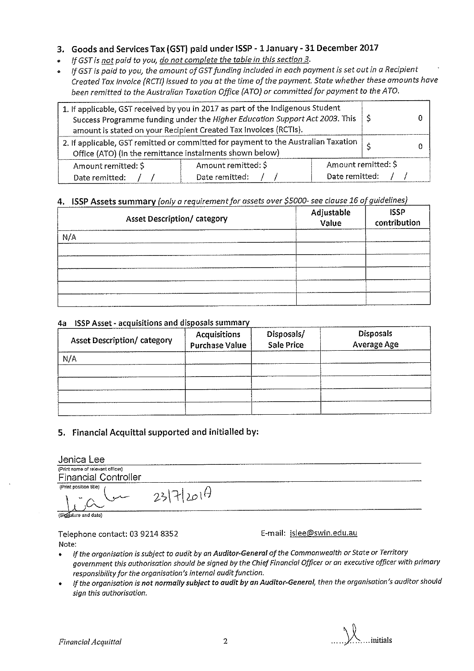# 3. Goods and Services Tax (GST) paid under ISSP - 1 January - 31 December 2017

- If GST is not paid to you, do not complete the table in this section 3.
- If GST is paid to you, the amount of GST funding included in each payment is set out in a Recipient Created Tax Invoice (RCTI) issued to you at the time of the payment. State whether these amounts have been remitted to the Australian Taxation Office (ATO) or committed for payment to the ATO.

| 1. If applicable, GST received by you in 2017 as part of the Indigenous Student<br>Success Programme funding under the Higher Education Support Act 2003. This<br>amount is stated on your Recipient Created Tax Invoices (RCTIs). | l S                 |  |  |  |
|------------------------------------------------------------------------------------------------------------------------------------------------------------------------------------------------------------------------------------|---------------------|--|--|--|
| 2. If applicable, GST remitted or committed for payment to the Australian Taxation $\vert$ $\rightarrow$<br>Office (ATO) (in the remittance instalments shown below)                                                               |                     |  |  |  |
| Amount remitted: \$                                                                                                                                                                                                                | Amount remitted: \$ |  |  |  |
| Date remitted:<br>Date remitted:<br>Date remitted:                                                                                                                                                                                 |                     |  |  |  |

# 4. ISSP Assets summary (only a requirement for assets over \$5000- see clause 16 of guidelines)

| <b>Asset Description/ category</b> | Adjustable<br>Value | <b>ISSP</b><br>contribution |
|------------------------------------|---------------------|-----------------------------|
| N/A                                |                     |                             |
|                                    |                     |                             |
|                                    |                     |                             |
|                                    |                     |                             |

## 4a ISSP Asset - acquisitions and disposals summary

| <b>Asset Description/category</b> | <b>Acquisitions</b><br><b>Purchase Value</b> | Disposals/<br><b>Sale Price</b> | Disposals<br>Average Age |
|-----------------------------------|----------------------------------------------|---------------------------------|--------------------------|
| N/A                               |                                              |                                 |                          |
|                                   |                                              |                                 |                          |
|                                   |                                              |                                 |                          |

# 5. Financial Acquittal supported and initialled by:

| Jenica Lee                                                      |           |  |
|-----------------------------------------------------------------|-----------|--|
| (Print name of relevant officer)<br><b>Financial Controller</b> |           |  |
| (Print position title)                                          | 2317/2014 |  |

(Signature and date)

Telephone contact: 03 9214 8352 Note:

E-mail: jslee@swin.edu.au

- If the organisation is subject to audit by an Auditor-General of the Commonwealth or State or Territory government this authorisation should be signed by the Chief Financial Officer or an executive officer with primary responsibility for the organisation's internal audit function.
- If the organisation is not normally subject to audit by an Auditor-General, then the organisation's auditor should  $\bullet$ sign this authorisation.

...initials